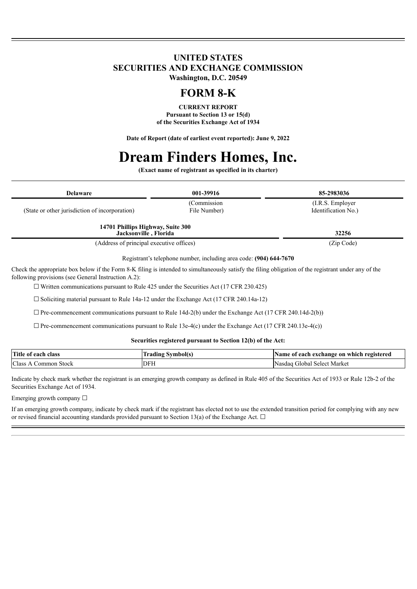## **UNITED STATES SECURITIES AND EXCHANGE COMMISSION Washington, D.C. 20549**

# **FORM 8-K**

**CURRENT REPORT Pursuant to Section 13 or 15(d) of the Securities Exchange Act of 1934**

**Date of Report (date of earliest event reported): June 9, 2022**

# **Dream Finders Homes, Inc.**

**(Exact name of registrant as specified in its charter)**

| <b>Delaware</b>                                            | 001-39916    | 85-2983036          |
|------------------------------------------------------------|--------------|---------------------|
|                                                            | (Commission) | (I.R.S. Employer)   |
| (State or other jurisdiction of incorporation)             | File Number) | Identification No.) |
| 14701 Phillips Highway, Suite 300<br>Jacksonville, Florida |              | 32256               |
| (Address of principal executive offices)                   |              | (Zip Code)          |

Registrant's telephone number, including area code: **(904) 644-7670**

Check the appropriate box below if the Form 8-K filing is intended to simultaneously satisfy the filing obligation of the registrant under any of the following provisions (see General Instruction A.2):

 $\Box$  Written communications pursuant to Rule 425 under the Securities Act (17 CFR 230.425)

☐ Soliciting material pursuant to Rule 14a-12 under the Exchange Act (17 CFR 240.14a-12)

☐ Pre-commencement communications pursuant to Rule 14d-2(b) under the Exchange Act (17 CFR 240.14d-2(b))

 $\Box$  Pre-commencement communications pursuant to Rule 13e-4(c) under the Exchange Act (17 CFR 240.13e-4(c))

#### **Securities registered pursuant to Section 12(b) of the Act:**

| Title of each<br>class   | symbol(s<br>tradıng | a exchange on which registered<br>each<br>Name of |
|--------------------------|---------------------|---------------------------------------------------|
| Class<br>Stock<br>.ommon | <b>IDFH</b>         | Nasdag<br>Select Market<br>. ilobal.              |

Indicate by check mark whether the registrant is an emerging growth company as defined in Rule 405 of the Securities Act of 1933 or Rule 12b-2 of the Securities Exchange Act of 1934.

Emerging growth company  $\Box$ 

If an emerging growth company, indicate by check mark if the registrant has elected not to use the extended transition period for complying with any new or revised financial accounting standards provided pursuant to Section 13(a) of the Exchange Act.  $\Box$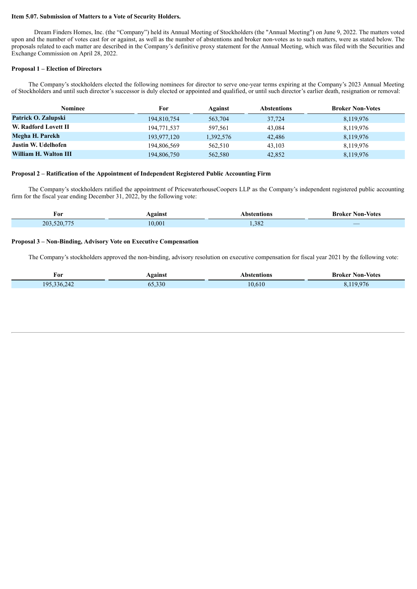#### **Item 5.07. Submission of Matters to a Vote of Security Holders.**

Dream Finders Homes, Inc. (the "Company") held its Annual Meeting of Stockholders (the "Annual Meeting") on June 9, 2022. The matters voted upon and the number of votes cast for or against, as well as the number of abstentions and broker non-votes as to such matters, were as stated below. The proposals related to each matter are described in the Company's definitive proxy statement for the Annual Meeting, which was filed with the Securities and Exchange Commission on April 28, 2022.

#### **Proposal 1 – Election of Directors**

Ì

The Company's stockholders elected the following nominees for director to serve one-year terms expiring at the Company's 2023 Annual Meeting of Stockholders and until such director's successor is duly elected or appointed and qualified, or until such director's earlier death, resignation or removal:

| Nominee               | For         | Against   | <b>Abstentions</b> | <b>Broker Non-Votes</b> |
|-----------------------|-------------|-----------|--------------------|-------------------------|
| Patrick O. Zalupski   | 194,810,754 | 563,704   | 37,724             | 8,119,976               |
| W. Radford Lovett II  | 194,771,537 | 597,561   | 43,084             | 8,119,976               |
| Megha H. Parekh       | 193,977,120 | 1,392,576 | 42,486             | 8,119,976               |
| Justin W. Udelhofen   | 194,806,569 | 562,510   | 43.103             | 8,119,976               |
| William H. Walton III | 194,806,750 | 562,580   | 42,852             | 8,119,976               |

#### **Proposal 2 – Ratification of the Appointment of Independent Registered Public Accounting Firm**

The Company's stockholders ratified the appointment of PricewaterhouseCoopers LLP as the Company's independent registered public accounting firm for the fiscal year ending December 31, 2022, by the following vote:

| For               | <b>\gainst</b> | Abstentions | <b>Broker Non-Votes</b>                       |
|-------------------|----------------|-------------|-----------------------------------------------|
| .520.775<br>203.5 | 10.001         | 1,382       | $\overline{\phantom{a}}$<br><b>CONTRACTOR</b> |

#### **Proposal 3 – Non-Binding, Advisory Vote on Executive Compensation**

The Company's stockholders approved the non-binding, advisory resolution on executive compensation for fiscal year 2021 by the following vote:

| For           | Against | Abstentions | <b>Broker Non-Votes</b> |
|---------------|---------|-------------|-------------------------|
| 195, 336, 242 | 65,330  | 10.610      | 19.976                  |
|               |         |             |                         |